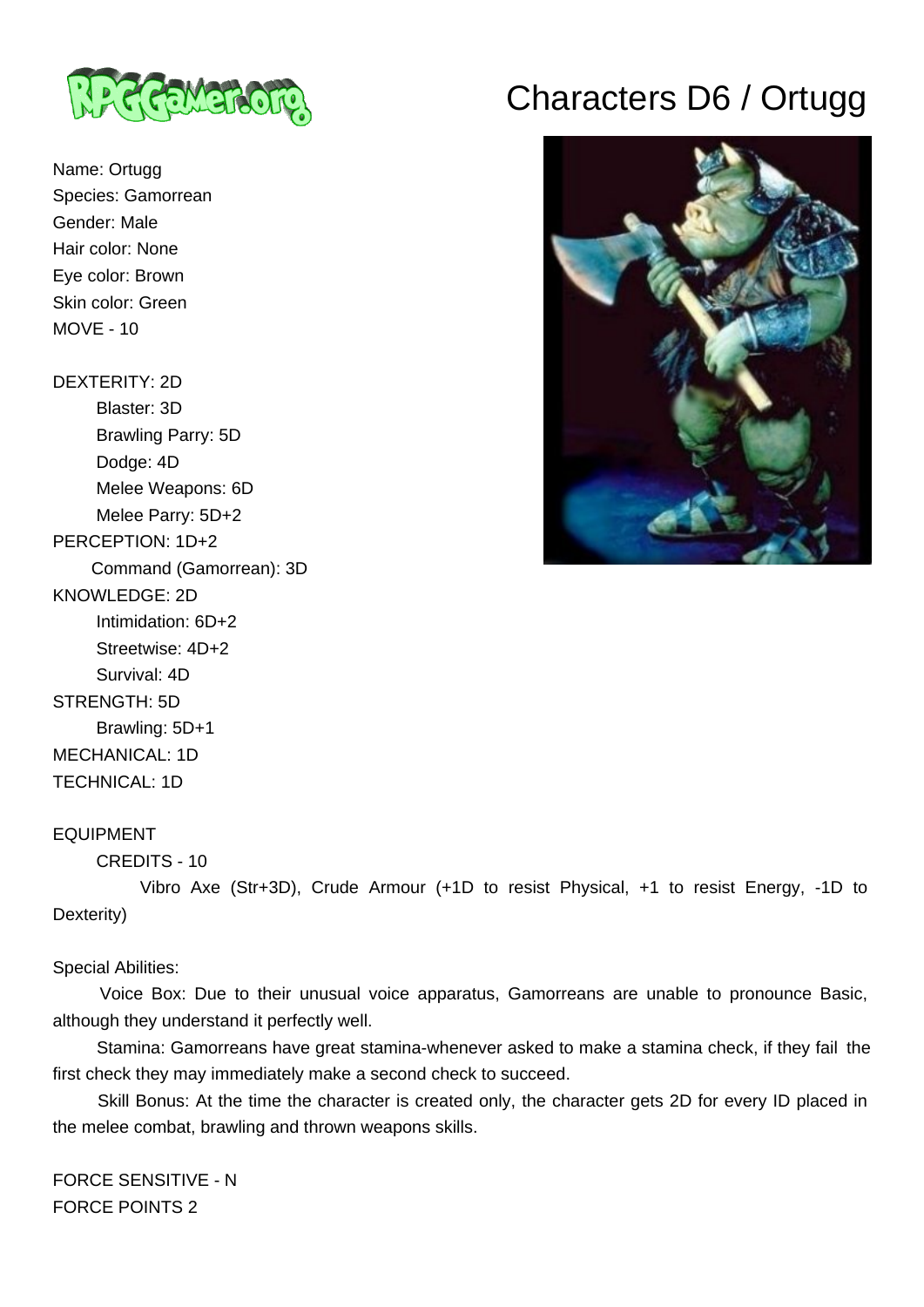

Name: Ortugg Species: Gamorrean Gender: Male Hair color: None Eye color: Brown Skin color: Green MOVE - 10

### DEXTERITY: 2D

 Blaster: 3D Brawling Parry: 5D Dodge: 4D Melee Weapons: 6D Melee Parry: 5D+2 PERCEPTION: 1D+2 Command (Gamorrean): 3D KNOWLEDGE: 2D Intimidation: 6D+2 Streetwise: 4D+2 Survival: 4D STRENGTH: 5D Brawling: 5D+1 MECHANICAL: 1D TECHNICAL: 1D

# Characters D6 / Ortugg



#### EQUIPMENT

```
 CREDITS - 10
```
 Vibro Axe (Str+3D), Crude Armour (+1D to resist Physical, +1 to resist Energy, -1D to Dexterity)

#### Special Abilities:

 Voice Box: Due to their unusual voice apparatus, Gamorreans are unable to pronounce Basic, although they understand it perfectly well.

 Stamina: Gamorreans have great stamina-whenever asked to make a stamina check, if they fail the first check they may immediately make a second check to succeed.

 Skill Bonus: At the time the character is created only, the character gets 2D for every ID placed in the melee combat, brawling and thrown weapons skills.

FORCE SENSITIVE - N FORCE POINTS 2